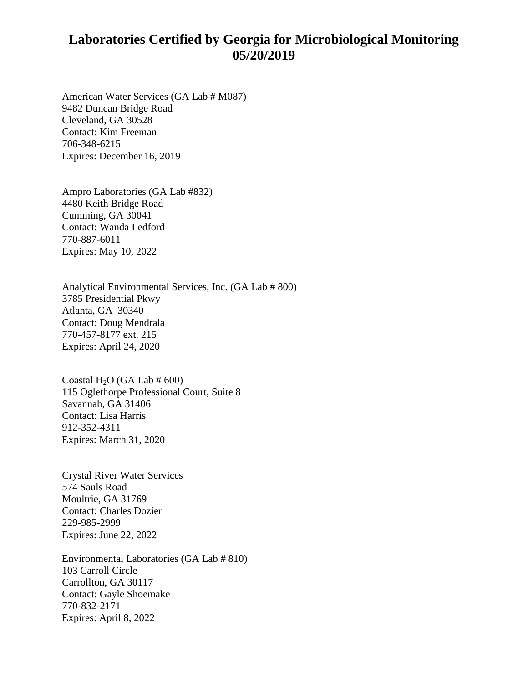## **Laboratories Certified by Georgia for Microbiological Monitoring 05/20/2019**

American Water Services (GA Lab # M087) 9482 Duncan Bridge Road Cleveland, GA 30528 Contact: Kim Freeman 706-348-6215 Expires: December 16, 2019

Ampro Laboratories (GA Lab #832) 4480 Keith Bridge Road Cumming, GA 30041 Contact: Wanda Ledford 770-887-6011 Expires: May 10, 2022

Analytical Environmental Services, Inc. (GA Lab # 800) 3785 Presidential Pkwy Atlanta, GA 30340 Contact: Doug Mendrala 770-457-8177 ext. 215 Expires: April 24, 2020

Coastal H<sub>2</sub>O (GA Lab  $\#$  600) 115 Oglethorpe Professional Court, Suite 8 Savannah, GA 31406 Contact: Lisa Harris 912-352-4311 Expires: March 31, 2020

Crystal River Water Services 574 Sauls Road Moultrie, GA 31769 Contact: Charles Dozier 229-985-2999 Expires: June 22, 2022

Environmental Laboratories (GA Lab # 810) 103 Carroll Circle Carrollton, GA 30117 Contact: Gayle Shoemake 770-832-2171 Expires: April 8, 2022